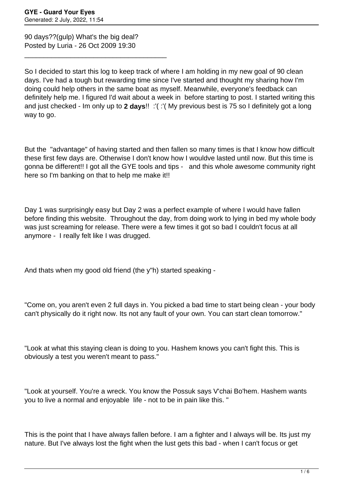90 days??(gulp) What's the big deal? Posted by Luria - 26 Oct 2009 19:30

\_\_\_\_\_\_\_\_\_\_\_\_\_\_\_\_\_\_\_\_\_\_\_\_\_\_\_\_\_\_\_\_\_\_\_\_\_

So I decided to start this log to keep track of where I am holding in my new goal of 90 clean days. I've had a tough but rewarding time since I've started and thought my sharing how I'm doing could help others in the same boat as myself. Meanwhile, everyone's feedback can definitely help me. I figured I'd wait about a week in before starting to post. I started writing this and just checked - Im only up to **2 days**!! :'( :'( My previous best is 75 so I definitely got a long way to go.

But the "advantage" of having started and then fallen so many times is that I know how difficult these first few days are. Otherwise I don't know how I wouldve lasted until now. But this time is gonna be different!! I got all the GYE tools and tips - and this whole awesome community right here so I'm banking on that to help me make it!!

Day 1 was surprisingly easy but Day 2 was a perfect example of where I would have fallen before finding this website. Throughout the day, from doing work to lying in bed my whole body was just screaming for release. There were a few times it got so bad I couldn't focus at all anymore - I really felt like I was drugged.

And thats when my good old friend (the y"h) started speaking -

"Come on, you aren't even 2 full days in. You picked a bad time to start being clean - your body can't physically do it right now. Its not any fault of your own. You can start clean tomorrow."

"Look at what this staying clean is doing to you. Hashem knows you can't fight this. This is obviously a test you weren't meant to pass."

"Look at yourself. You're a wreck. You know the Possuk says V'chai Bo'hem. Hashem wants you to live a normal and enjoyable life - not to be in pain like this. "

This is the point that I have always fallen before. I am a fighter and I always will be. Its just my nature. But I've always lost the fight when the lust gets this bad - when I can't focus or get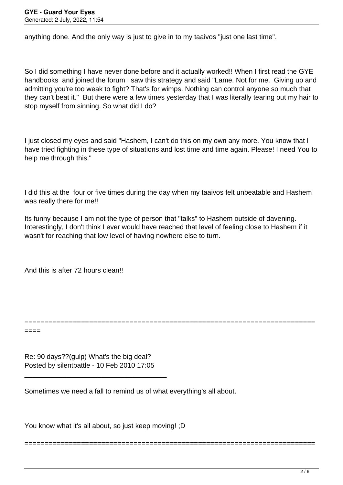anything done. And the only way is just to give in to my taaivos "just one last time".

So I did something I have never done before and it actually worked!! When I first read the GYE handbooks and joined the forum I saw this strategy and said "Lame. Not for me. Giving up and admitting you're too weak to fight? That's for wimps. Nothing can control anyone so much that they can't beat it." But there were a few times yesterday that I was literally tearing out my hair to stop myself from sinning. So what did I do?

I just closed my eyes and said "Hashem, I can't do this on my own any more. You know that I have tried fighting in these type of situations and lost time and time again. Please! I need You to help me through this."

I did this at the four or five times during the day when my taaivos felt unbeatable and Hashem was really there for me!!

Its funny because I am not the type of person that "talks" to Hashem outside of davening. Interestingly, I don't think I ever would have reached that level of feeling close to Hashem if it wasn't for reaching that low level of having nowhere else to turn.

========================================================================

========================================================================

And this is after 72 hours clean!!

====

Re: 90 days??(gulp) What's the big deal? Posted by silentbattle - 10 Feb 2010 17:05

\_\_\_\_\_\_\_\_\_\_\_\_\_\_\_\_\_\_\_\_\_\_\_\_\_\_\_\_\_\_\_\_\_\_\_\_\_

Sometimes we need a fall to remind us of what everything's all about.

You know what it's all about, so just keep moving! ;D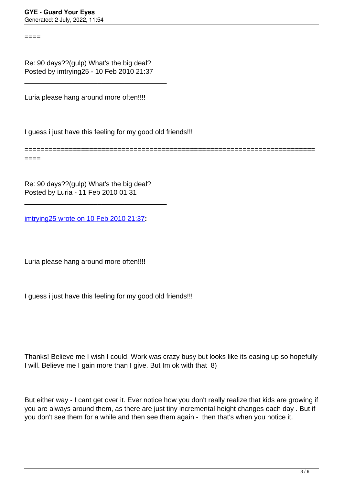====

Re: 90 days??(gulp) What's the big deal? Posted by imtrying25 - 10 Feb 2010 21:37

\_\_\_\_\_\_\_\_\_\_\_\_\_\_\_\_\_\_\_\_\_\_\_\_\_\_\_\_\_\_\_\_\_\_\_\_\_

Luria please hang around more often!!!!

I guess i just have this feeling for my good old friends!!!

======================================================================== ====

Re: 90 days??(gulp) What's the big deal? Posted by Luria - 11 Feb 2010 01:31

\_\_\_\_\_\_\_\_\_\_\_\_\_\_\_\_\_\_\_\_\_\_\_\_\_\_\_\_\_\_\_\_\_\_\_\_\_

[imtrying25 wrote on 10 Feb 2010 21:37](/forum/id-)**:**

Luria please hang around more often!!!!

I guess i just have this feeling for my good old friends!!!

Thanks! Believe me I wish I could. Work was crazy busy but looks like its easing up so hopefully I will. Believe me I gain more than I give. But Im ok with that 8)

But either way - I cant get over it. Ever notice how you don't really realize that kids are growing if you are always around them, as there are just tiny incremental height changes each day . But if you don't see them for a while and then see them again - then that's when you notice it.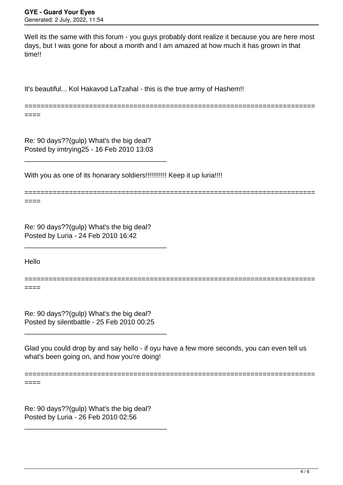Well its the same with this forum - you guys probably dont realize it because you are here most days, but I was gone for about a month and I am amazed at how much it has grown in that time!!

It's beautiful... Kol Hakavod LaTzahal - this is the true army of Hashem!!

========================================================================

Re: 90 days??(gulp) What's the big deal? Posted by imtrying25 - 16 Feb 2010 13:03

\_\_\_\_\_\_\_\_\_\_\_\_\_\_\_\_\_\_\_\_\_\_\_\_\_\_\_\_\_\_\_\_\_\_\_\_\_

With you as one of its honarary soldiers!!!!!!!!!!!! Keep it up luria!!!!

======================================================================== ====

====

Re: 90 days??(gulp) What's the big deal? Posted by Luria - 24 Feb 2010 16:42

\_\_\_\_\_\_\_\_\_\_\_\_\_\_\_\_\_\_\_\_\_\_\_\_\_\_\_\_\_\_\_\_\_\_\_\_\_

Hello

====

========================================================================

Re: 90 days??(gulp) What's the big deal? Posted by silentbattle - 25 Feb 2010 00:25

\_\_\_\_\_\_\_\_\_\_\_\_\_\_\_\_\_\_\_\_\_\_\_\_\_\_\_\_\_\_\_\_\_\_\_\_\_

Glad you could drop by and say hello - if oyu have a few more seconds, you can even tell us what's been going on, and how you're doing!

========================================================================

====

Re: 90 days??(gulp) What's the big deal? Posted by Luria - 26 Feb 2010 02:56

\_\_\_\_\_\_\_\_\_\_\_\_\_\_\_\_\_\_\_\_\_\_\_\_\_\_\_\_\_\_\_\_\_\_\_\_\_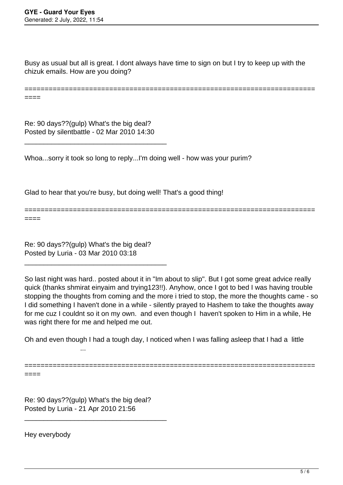Busy as usual but all is great. I dont always have time to sign on but I try to keep up with the chizuk emails. How are you doing?

======================================================================== ====

Re: 90 days??(gulp) What's the big deal? Posted by silentbattle - 02 Mar 2010 14:30

\_\_\_\_\_\_\_\_\_\_\_\_\_\_\_\_\_\_\_\_\_\_\_\_\_\_\_\_\_\_\_\_\_\_\_\_\_

Whoa...sorry it took so long to reply...I'm doing well - how was your purim?

Glad to hear that you're busy, but doing well! That's a good thing!

======================================================================== ====

Re: 90 days??(gulp) What's the big deal? Posted by Luria - 03 Mar 2010 03:18

\_\_\_\_\_\_\_\_\_\_\_\_\_\_\_\_\_\_\_\_\_\_\_\_\_\_\_\_\_\_\_\_\_\_\_\_\_

So last night was hard.. posted about it in "Im about to slip". But I got some great advice really quick (thanks shmirat einyaim and trying123!!). Anyhow, once I got to bed I was having trouble stopping the thoughts from coming and the more i tried to stop, the more the thoughts came - so I did something I haven't done in a while - silently prayed to Hashem to take the thoughts away for me cuz I couldnt so it on my own. and even though I haven't spoken to Him in a while, He was right there for me and helped me out.

Oh and even though I had a tough day, I noticed when I was falling asleep that I had a little

========================================================================

====

Re: 90 days??(gulp) What's the big deal? Posted by Luria - 21 Apr 2010 21:56

\_\_\_\_\_\_\_\_\_\_\_\_\_\_\_\_\_\_\_\_\_\_\_\_\_\_\_\_\_\_\_\_\_\_\_\_\_

...

Hey everybody